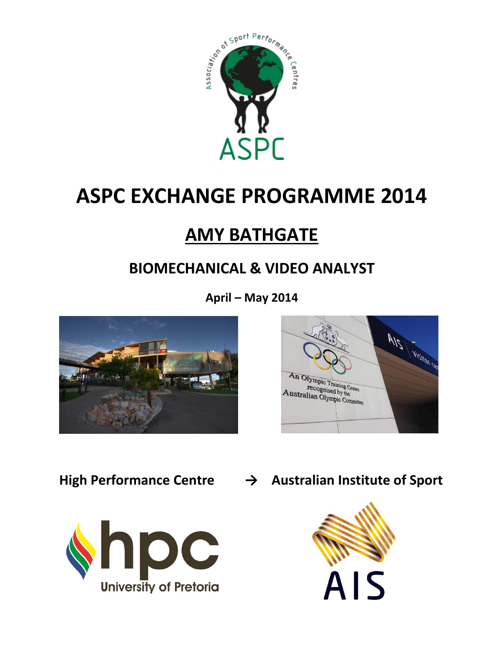

# **ASPC EXCHANGE PROGRAMME 2014**

## **AMY BATHGATE**

## **BIOMECHANICAL & VIDEO ANALYST**

**April – May 2014**







**High Performance Centre → Australian Institute of Sport**

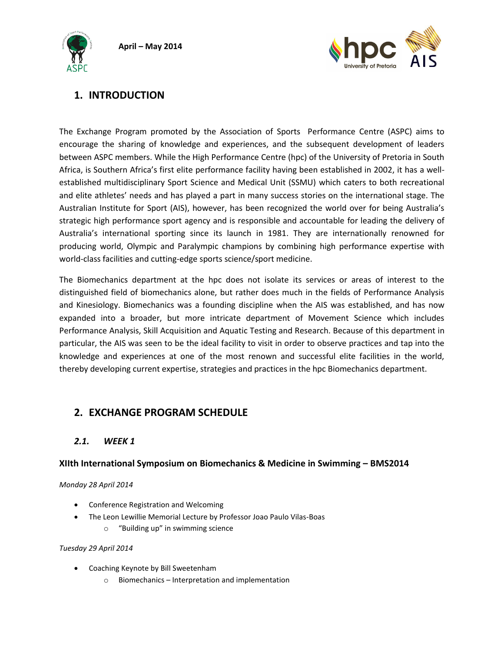**April – May 2014**





## **1. INTRODUCTION**

The Exchange Program promoted by the Association of Sports Performance Centre (ASPC) aims to encourage the sharing of knowledge and experiences, and the subsequent development of leaders between ASPC members. While the High Performance Centre (hpc) of the University of Pretoria in South Africa, is Southern Africa's first elite performance facility having been established in 2002, it has a wellestablished multidisciplinary Sport Science and Medical Unit (SSMU) which caters to both recreational and elite athletes' needs and has played a part in many success stories on the international stage. The Australian Institute for Sport (AIS), however, has been recognized the world over for being Australia's strategic high performance sport agency and is responsible and accountable for leading the delivery of Australia's international sporting since its launch in 1981. They are internationally renowned for producing world, Olympic and Paralympic champions by combining high performance expertise with world-class facilities and cutting-edge sports science/sport medicine.

The Biomechanics department at the hpc does not isolate its services or areas of interest to the distinguished field of biomechanics alone, but rather does much in the fields of Performance Analysis and Kinesiology. Biomechanics was a founding discipline when the AIS was established, and has now expanded into a broader, but more intricate department of Movement Science which includes Performance Analysis, Skill Acquisition and Aquatic Testing and Research. Because of this department in particular, the AIS was seen to be the ideal facility to visit in order to observe practices and tap into the knowledge and experiences at one of the most renown and successful elite facilities in the world, thereby developing current expertise, strategies and practices in the hpc Biomechanics department.

## **2. EXCHANGE PROGRAM SCHEDULE**

## *2.1. WEEK 1*

## **XIIth International Symposium on Biomechanics & Medicine in Swimming – BMS2014**

#### *Monday 28 April 2014*

- Conference Registration and Welcoming
- The Leon Lewillie Memorial Lecture by Professor Joao Paulo Vilas-Boas
	- o "Building up" in swimming science

#### *Tuesday 29 April 2014*

- Coaching Keynote by Bill Sweetenham
	- o Biomechanics Interpretation and implementation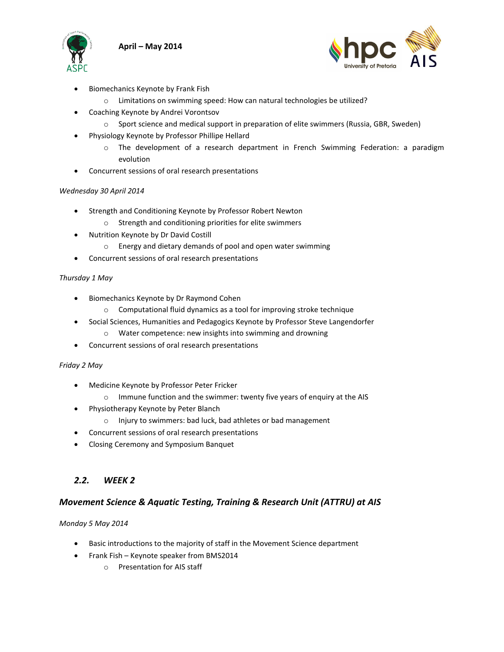



- Biomechanics Keynote by Frank Fish
	- o Limitations on swimming speed: How can natural technologies be utilized?
- Coaching Keynote by Andrei Vorontsov
	- $\circ$  Sport science and medical support in preparation of elite swimmers (Russia, GBR, Sweden)
- Physiology Keynote by Professor Phillipe Hellard
	- o The development of a research department in French Swimming Federation: a paradigm evolution
- Concurrent sessions of oral research presentations

#### *Wednesday 30 April 2014*

- **•** Strength and Conditioning Keynote by Professor Robert Newton
	- o Strength and conditioning priorities for elite swimmers
- x Nutrition Keynote by Dr David Costill
	- o Energy and dietary demands of pool and open water swimming
- Concurrent sessions of oral research presentations

#### *Thursday 1 May*

- **•** Biomechanics Keynote by Dr Raymond Cohen
	- o Computational fluid dynamics as a tool for improving stroke technique
- Social Sciences, Humanities and Pedagogics Keynote by Professor Steve Langendorfer
	- o Water competence: new insights into swimming and drowning
- Concurrent sessions of oral research presentations

#### *Friday 2 May*

- x Medicine Keynote by Professor Peter Fricker
	- o Immune function and the swimmer: twenty five years of enquiry at the AIS
- Physiotherapy Keynote by Peter Blanch
	- o Injury to swimmers: bad luck, bad athletes or bad management
	- Concurrent sessions of oral research presentations
- Closing Ceremony and Symposium Banquet

## *2.2. WEEK 2*

#### *Movement Science & Aquatic Testing, Training & Research Unit (ATTRU) at AIS*

#### *Monday 5 May 2014*

- **•** Basic introductions to the majority of staff in the Movement Science department
- Frank Fish Keynote speaker from BMS2014
	- o Presentation for AIS staff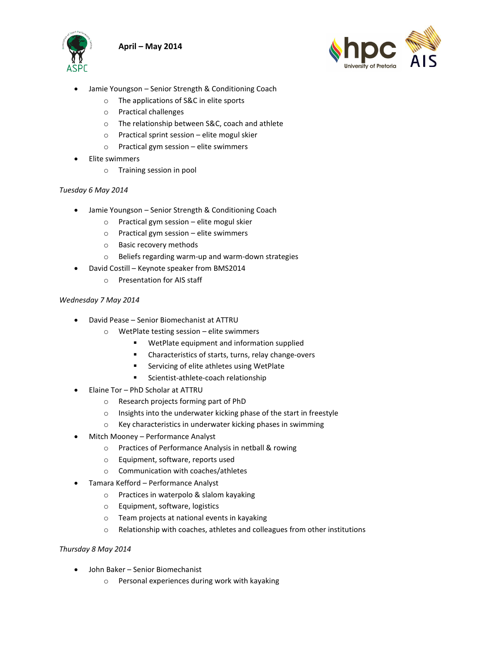





- Jamie Youngson Senior Strength & Conditioning Coach
	- o The applications of S&C in elite sports
	- o Practical challenges
	- o The relationship between S&C, coach and athlete
	- o Practical sprint session elite mogul skier
	- o Practical gym session elite swimmers
- Elite swimmers
	- o Training session in pool

#### *Tuesday 6 May 2014*

- Jamie Youngson Senior Strength & Conditioning Coach
	- o Practical gym session elite mogul skier
	- o Practical gym session elite swimmers
	- o Basic recovery methods
	- o Beliefs regarding warm-up and warm-down strategies
- David Costill Keynote speaker from BMS2014
	- o Presentation for AIS staff

#### *Wednesday 7 May 2014*

- David Pease Senior Biomechanist at ATTRU
	- o WetPlate testing session elite swimmers
		- WetPlate equipment and information supplied
		- Characteristics of starts, turns, relay change-overs
		- Servicing of elite athletes using WetPlate
		- Scientist-athlete-coach relationship
- Elaine Tor PhD Scholar at ATTRU
	- o Research projects forming part of PhD
	- o Insights into the underwater kicking phase of the start in freestyle
	- o Key characteristics in underwater kicking phases in swimming
- Mitch Mooney Performance Analyst
	- o Practices of Performance Analysis in netball & rowing
	- o Equipment, software, reports used
	- o Communication with coaches/athletes
- x Tamara Kefford Performance Analyst
	- o Practices in waterpolo & slalom kayaking
	- o Equipment, software, logistics
	- o Team projects at national events in kayaking
	- o Relationship with coaches, athletes and colleagues from other institutions

#### *Thursday 8 May 2014*

- John Baker Senior Biomechanist
	- o Personal experiences during work with kayaking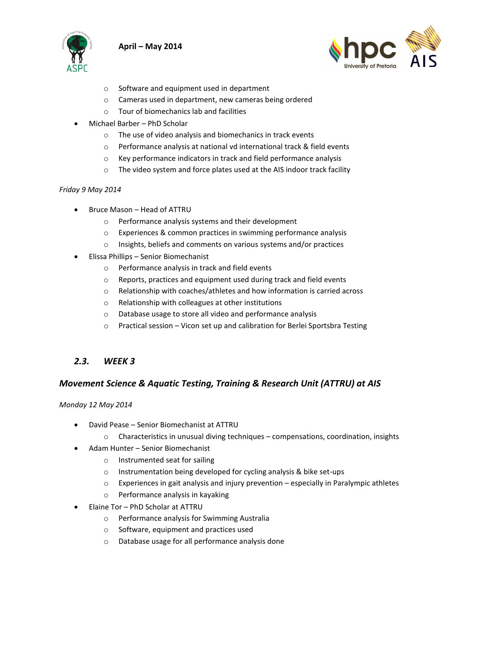



- o Software and equipment used in department
- o Cameras used in department, new cameras being ordered
- o Tour of biomechanics lab and facilities
- Michael Barber PhD Scholar
	- o The use of video analysis and biomechanics in track events
	- o Performance analysis at national vd international track & field events
	- o Key performance indicators in track and field performance analysis
	- o The video system and force plates used at the AIS indoor track facility

#### *Friday 9 May 2014*

- Bruce Mason Head of ATTRU
	- o Performance analysis systems and their development
	- o Experiences & common practices in swimming performance analysis
	- o Insights, beliefs and comments on various systems and/or practices
- **•** Elissa Phillips Senior Biomechanist
	- o Performance analysis in track and field events
	- o Reports, practices and equipment used during track and field events
	- o Relationship with coaches/athletes and how information is carried across
	- o Relationship with colleagues at other institutions
	- o Database usage to store all video and performance analysis
	- o Practical session Vicon set up and calibration for Berlei Sportsbra Testing

#### *2.3. WEEK 3*

#### *Movement Science & Aquatic Testing, Training & Research Unit (ATTRU) at AIS*

*Monday 12 May 2014*

- David Pease Senior Biomechanist at ATTRU
	- $\circ$  Characteristics in unusual diving techniques compensations, coordination, insights
- Adam Hunter Senior Biomechanist
	- o Instrumented seat for sailing
	- o Instrumentation being developed for cycling analysis & bike set-ups
	- $\circ$  Experiences in gait analysis and injury prevention especially in Paralympic athletes
	- o Performance analysis in kayaking
- Elaine Tor PhD Scholar at ATTRU
	- o Performance analysis for Swimming Australia
	- o Software, equipment and practices used
	- o Database usage for all performance analysis done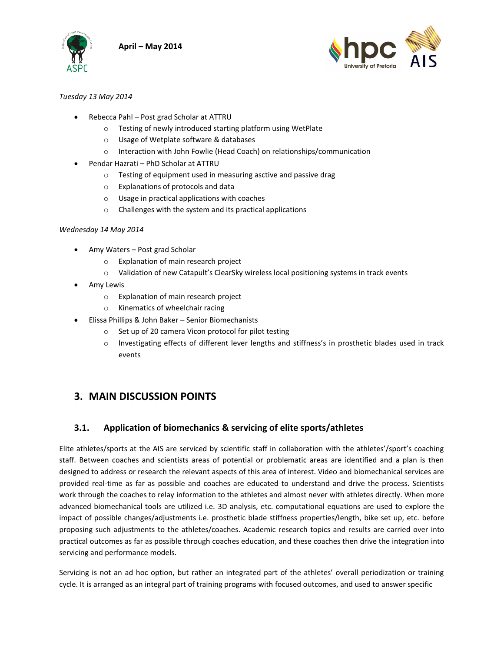



#### *Tuesday 13 May 2014*

- x Rebecca Pahl Post grad Scholar at ATTRU
	- o Testing of newly introduced starting platform using WetPlate
	- o Usage of Wetplate software & databases
	- o Interaction with John Fowlie (Head Coach) on relationships/communication
- x Pendar Hazrati PhD Scholar at ATTRU
	- o Testing of equipment used in measuring asctive and passive drag
	- o Explanations of protocols and data
	- o Usage in practical applications with coaches
	- o Challenges with the system and its practical applications

#### *Wednesday 14 May 2014*

- $\bullet$  Amy Waters Post grad Scholar
	- o Explanation of main research project
	- o Validation of new Catapult's ClearSky wireless local positioning systems in track events
- Amy Lewis
	- o Explanation of main research project
	- o Kinematics of wheelchair racing
- x Elissa Phillips & John Baker Senior Biomechanists
	- o Set up of 20 camera Vicon protocol for pilot testing
	- o Investigating effects of different lever lengths and stiffness's in prosthetic blades used in track events

## **3. MAIN DISCUSSION POINTS**

## **3.1. Application of biomechanics & servicing of elite sports/athletes**

Elite athletes/sports at the AIS are serviced by scientific staff in collaboration with the athletes'/sport's coaching staff. Between coaches and scientists areas of potential or problematic areas are identified and a plan is then designed to address or research the relevant aspects of this area of interest. Video and biomechanical services are provided real-time as far as possible and coaches are educated to understand and drive the process. Scientists work through the coaches to relay information to the athletes and almost never with athletes directly. When more advanced biomechanical tools are utilized i.e. 3D analysis, etc. computational equations are used to explore the impact of possible changes/adjustments i.e. prosthetic blade stiffness properties/length, bike set up, etc. before proposing such adjustments to the athletes/coaches. Academic research topics and results are carried over into practical outcomes as far as possible through coaches education, and these coaches then drive the integration into servicing and performance models.

Servicing is not an ad hoc option, but rather an integrated part of the athletes' overall periodization or training cycle. It is arranged as an integral part of training programs with focused outcomes, and used to answer specific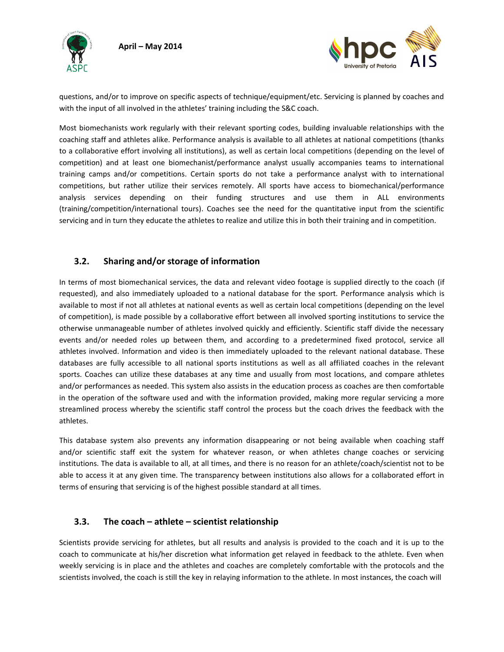



questions, and/or to improve on specific aspects of technique/equipment/etc. Servicing is planned by coaches and with the input of all involved in the athletes' training including the S&C coach.

Most biomechanists work regularly with their relevant sporting codes, building invaluable relationships with the coaching staff and athletes alike. Performance analysis is available to all athletes at national competitions (thanks to a collaborative effort involving all institutions), as well as certain local competitions (depending on the level of competition) and at least one biomechanist/performance analyst usually accompanies teams to international training camps and/or competitions. Certain sports do not take a performance analyst with to international competitions, but rather utilize their services remotely. All sports have access to biomechanical/performance analysis services depending on their funding structures and use them in ALL environments (training/competition/international tours). Coaches see the need for the quantitative input from the scientific servicing and in turn they educate the athletes to realize and utilize this in both their training and in competition.

## **3.2. Sharing and/or storage of information**

In terms of most biomechanical services, the data and relevant video footage is supplied directly to the coach (if requested), and also immediately uploaded to a national database for the sport. Performance analysis which is available to most if not all athletes at national events as well as certain local competitions (depending on the level of competition), is made possible by a collaborative effort between all involved sporting institutions to service the otherwise unmanageable number of athletes involved quickly and efficiently. Scientific staff divide the necessary events and/or needed roles up between them, and according to a predetermined fixed protocol, service all athletes involved. Information and video is then immediately uploaded to the relevant national database. These databases are fully accessible to all national sports institutions as well as all affiliated coaches in the relevant sports. Coaches can utilize these databases at any time and usually from most locations, and compare athletes and/or performances as needed. This system also assists in the education process as coaches are then comfortable in the operation of the software used and with the information provided, making more regular servicing a more streamlined process whereby the scientific staff control the process but the coach drives the feedback with the athletes.

This database system also prevents any information disappearing or not being available when coaching staff and/or scientific staff exit the system for whatever reason, or when athletes change coaches or servicing institutions. The data is available to all, at all times, and there is no reason for an athlete/coach/scientist not to be able to access it at any given time. The transparency between institutions also allows for a collaborated effort in terms of ensuring that servicing is of the highest possible standard at all times.

## **3.3. The coach – athlete – scientist relationship**

Scientists provide servicing for athletes, but all results and analysis is provided to the coach and it is up to the coach to communicate at his/her discretion what information get relayed in feedback to the athlete. Even when weekly servicing is in place and the athletes and coaches are completely comfortable with the protocols and the scientists involved, the coach is still the key in relaying information to the athlete. In most instances, the coach will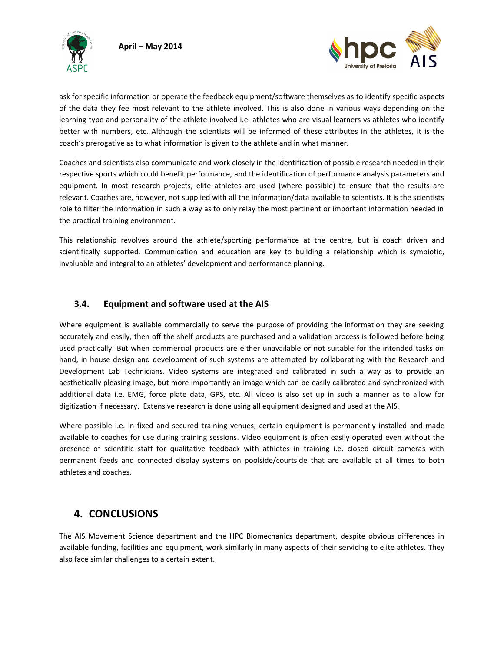



ask for specific information or operate the feedback equipment/software themselves as to identify specific aspects of the data they fee most relevant to the athlete involved. This is also done in various ways depending on the learning type and personality of the athlete involved i.e. athletes who are visual learners vs athletes who identify better with numbers, etc. Although the scientists will be informed of these attributes in the athletes, it is the coach's prerogative as to what information is given to the athlete and in what manner.

Coaches and scientists also communicate and work closely in the identification of possible research needed in their respective sports which could benefit performance, and the identification of performance analysis parameters and equipment. In most research projects, elite athletes are used (where possible) to ensure that the results are relevant. Coaches are, however, not supplied with all the information/data available to scientists. It is the scientists role to filter the information in such a way as to only relay the most pertinent or important information needed in the practical training environment.

This relationship revolves around the athlete/sporting performance at the centre, but is coach driven and scientifically supported. Communication and education are key to building a relationship which is symbiotic, invaluable and integral to an athletes' development and performance planning.

## **3.4. Equipment and software used at the AIS**

Where equipment is available commercially to serve the purpose of providing the information they are seeking accurately and easily, then off the shelf products are purchased and a validation process is followed before being used practically. But when commercial products are either unavailable or not suitable for the intended tasks on hand, in house design and development of such systems are attempted by collaborating with the Research and Development Lab Technicians. Video systems are integrated and calibrated in such a way as to provide an aesthetically pleasing image, but more importantly an image which can be easily calibrated and synchronized with additional data i.e. EMG, force plate data, GPS, etc. All video is also set up in such a manner as to allow for digitization if necessary. Extensive research is done using all equipment designed and used at the AIS.

Where possible i.e. in fixed and secured training venues, certain equipment is permanently installed and made available to coaches for use during training sessions. Video equipment is often easily operated even without the presence of scientific staff for qualitative feedback with athletes in training i.e. closed circuit cameras with permanent feeds and connected display systems on poolside/courtside that are available at all times to both athletes and coaches.

## **4. CONCLUSIONS**

The AIS Movement Science department and the HPC Biomechanics department, despite obvious differences in available funding, facilities and equipment, work similarly in many aspects of their servicing to elite athletes. They also face similar challenges to a certain extent.